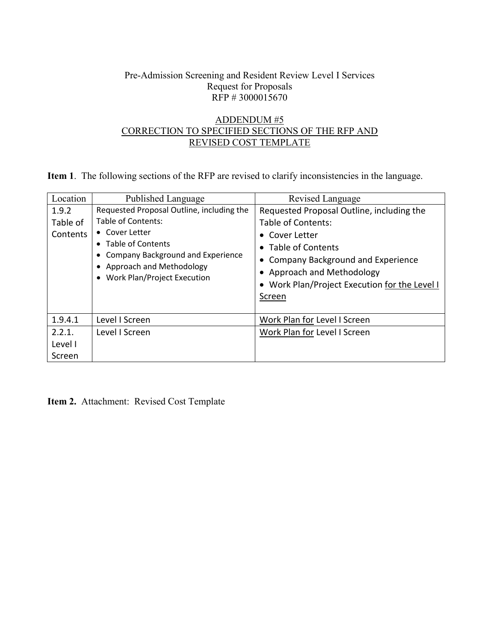## Pre-Admission Screening and Resident Review Level I Services Request for Proposals RFP # 3000015670

## ADDENDUM #5 CORRECTION TO SPECIFIED SECTIONS OF THE RFP AND REVISED COST TEMPLATE

**Item 1**. The following sections of the RFP are revised to clarify inconsistencies in the language.

| Location                      | Published Language                                                                                                                                                                                                  | Revised Language                                                                                                                                                                                                                       |
|-------------------------------|---------------------------------------------------------------------------------------------------------------------------------------------------------------------------------------------------------------------|----------------------------------------------------------------------------------------------------------------------------------------------------------------------------------------------------------------------------------------|
| 1.9.2<br>Table of<br>Contents | Requested Proposal Outline, including the<br>Table of Contents:<br>• Cover Letter<br>• Table of Contents<br><b>Company Background and Experience</b><br>• Approach and Methodology<br>• Work Plan/Project Execution | Requested Proposal Outline, including the<br>Table of Contents:<br>• Cover Letter<br>• Table of Contents<br>• Company Background and Experience<br>Approach and Methodology<br>• Work Plan/Project Execution for the Level I<br>Screen |
| 1.9.4.1                       | Level I Screen                                                                                                                                                                                                      | Work Plan for Level I Screen                                                                                                                                                                                                           |
| 2.2.1.<br>Level I<br>Screen   | Level I Screen                                                                                                                                                                                                      | Work Plan for Level I Screen                                                                                                                                                                                                           |

**Item 2.** Attachment: Revised Cost Template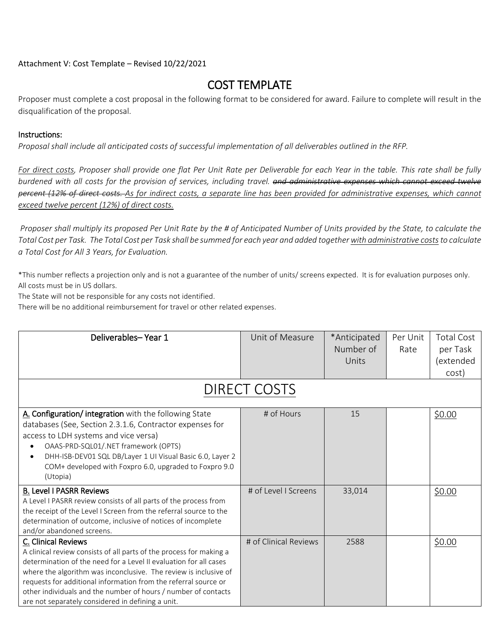Attachment V: Cost Template – Revised 10/22/2021

## COST TEMPLATE

Proposer must complete a cost proposal in the following format to be considered for award. Failure to complete will result in the disqualification of the proposal.

## Instructions:

*Proposal shall include all anticipated costs of successful implementation of all deliverables outlined in the RFP.* 

*For direct costs, Proposer shall provide one flat Per Unit Rate per Deliverable for each Year in the table. This rate shall be fully burdened with all costs for the provision of services, including travel. and administrative expenses which cannot exceed twelve percent (12% of direct costs. As for indirect costs, a separate line has been provided for administrative expenses, which cannot exceed twelve percent (12%) of direct costs.*

*Proposer shall multiply its proposed Per Unit Rate by the # of Anticipated Number of Units provided by the State, to calculate the*  Total Cost per Task. The Total Cost per Task shall be summed for each year and added together with administrative costs to calculate *a Total Cost for All 3 Years, for Evaluation.* 

\*This number reflects a projection only and is not a guarantee of the number of units/ screens expected. It is for evaluation purposes only. All costs must be in US dollars.

The State will not be responsible for any costs not identified.

There will be no additional reimbursement for travel or other related expenses.

| Deliverables-Year 1                                                                                                                                                                                                                                                                                                                                                                                                           | Unit of Measure       | *Anticipated<br>Number of<br>Units | Per Unit<br>Rate | <b>Total Cost</b><br>per Task<br>(extended<br>cost) |
|-------------------------------------------------------------------------------------------------------------------------------------------------------------------------------------------------------------------------------------------------------------------------------------------------------------------------------------------------------------------------------------------------------------------------------|-----------------------|------------------------------------|------------------|-----------------------------------------------------|
| <b>DIRECT COSTS</b>                                                                                                                                                                                                                                                                                                                                                                                                           |                       |                                    |                  |                                                     |
| A. Configuration/ integration with the following State<br>databases (See, Section 2.3.1.6, Contractor expenses for<br>access to LDH systems and vice versa)<br>OAAS-PRD-SQL01/.NET framework (OPTS)<br>DHH-ISB-DEV01 SQL DB/Layer 1 UI Visual Basic 6.0, Layer 2<br>COM+ developed with Foxpro 6.0, upgraded to Foxpro 9.0<br>(Utopia)                                                                                        | # of Hours            | 15                                 |                  | \$0.00                                              |
| <b>B.</b> Level I PASRR Reviews<br>A Level I PASRR review consists of all parts of the process from<br>the receipt of the Level I Screen from the referral source to the<br>determination of outcome, inclusive of notices of incomplete<br>and/or abandoned screens.                                                                                                                                                         | # of Level I Screens  | 33,014                             |                  | \$0.00                                              |
| C. Clinical Reviews<br>A clinical review consists of all parts of the process for making a<br>determination of the need for a Level II evaluation for all cases<br>where the algorithm was inconclusive. The review is inclusive of<br>requests for additional information from the referral source or<br>other individuals and the number of hours / number of contacts<br>are not separately considered in defining a unit. | # of Clinical Reviews | 2588                               |                  | \$0.00                                              |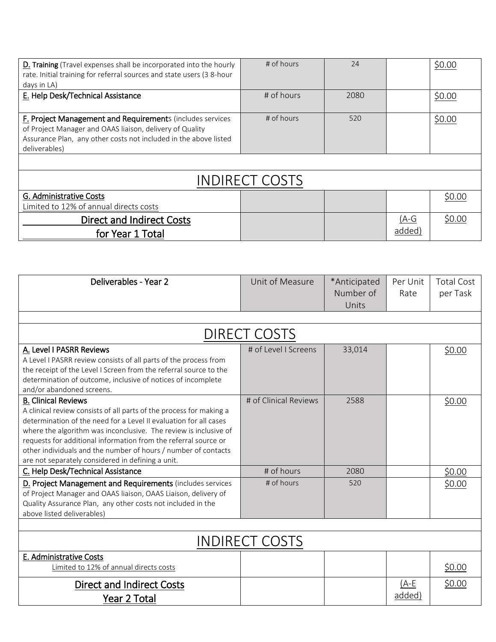| D. Training (Travel expenses shall be incorporated into the hourly<br>rate. Initial training for referral sources and state users (3 8-hour<br>days in LA)                                                        | # of hours | 24   |                   | \$0.00 |  |
|-------------------------------------------------------------------------------------------------------------------------------------------------------------------------------------------------------------------|------------|------|-------------------|--------|--|
| E. Help Desk/Technical Assistance                                                                                                                                                                                 | # of hours | 2080 |                   | \$0.00 |  |
| <b>F. Project Management and Requirements (includes services</b><br>of Project Manager and OAAS liaison, delivery of Quality<br>Assurance Plan, any other costs not included in the above listed<br>deliverables) | # of hours | 520  |                   | \$0.00 |  |
|                                                                                                                                                                                                                   |            |      |                   |        |  |
| <b>INDIRECT COSTS</b>                                                                                                                                                                                             |            |      |                   |        |  |
| G. Administrative Costs<br>Limited to 12% of annual directs costs                                                                                                                                                 |            |      |                   | \$0.00 |  |
| <b>Direct and Indirect Costs</b><br>for Year 1 Total                                                                                                                                                              |            |      | $(A-G)$<br>added) | \$0.00 |  |

| Deliverables - Year 2                                                                                                                                                                                                                                                                                                                                                                                                                | Unit of Measure       | *Anticipated<br>Number of<br>Units | Per Unit<br>Rate  | <b>Total Cost</b><br>per Task |  |
|--------------------------------------------------------------------------------------------------------------------------------------------------------------------------------------------------------------------------------------------------------------------------------------------------------------------------------------------------------------------------------------------------------------------------------------|-----------------------|------------------------------------|-------------------|-------------------------------|--|
|                                                                                                                                                                                                                                                                                                                                                                                                                                      |                       |                                    |                   |                               |  |
|                                                                                                                                                                                                                                                                                                                                                                                                                                      | DIRECT COSTS          |                                    |                   |                               |  |
| A. Level I PASRR Reviews<br>A Level I PASRR review consists of all parts of the process from<br>the receipt of the Level I Screen from the referral source to the<br>determination of outcome, inclusive of notices of incomplete<br>and/or abandoned screens.                                                                                                                                                                       | # of Level I Screens  | 33,014                             |                   | \$0.00                        |  |
| <b>B. Clinical Reviews</b><br>A clinical review consists of all parts of the process for making a<br>determination of the need for a Level II evaluation for all cases<br>where the algorithm was inconclusive. The review is inclusive of<br>requests for additional information from the referral source or<br>other individuals and the number of hours / number of contacts<br>are not separately considered in defining a unit. | # of Clinical Reviews | 2588                               |                   | \$0.00                        |  |
| C. Help Desk/Technical Assistance                                                                                                                                                                                                                                                                                                                                                                                                    | # of hours            | 2080                               |                   | \$0.00                        |  |
| D. Project Management and Requirements (includes services<br>of Project Manager and OAAS liaison, OAAS Liaison, delivery of<br>Quality Assurance Plan, any other costs not included in the<br>above listed deliverables)                                                                                                                                                                                                             | # of hours            | 520                                |                   | \$0.00                        |  |
|                                                                                                                                                                                                                                                                                                                                                                                                                                      |                       |                                    |                   |                               |  |
| <b>INDIRECT COSTS</b>                                                                                                                                                                                                                                                                                                                                                                                                                |                       |                                    |                   |                               |  |
| E. Administrative Costs<br>Limited to 12% of annual directs costs                                                                                                                                                                                                                                                                                                                                                                    |                       |                                    |                   | \$0.00                        |  |
| Direct and Indirect Costs<br>Year 2 Total                                                                                                                                                                                                                                                                                                                                                                                            |                       |                                    | $(A-E)$<br>added) | \$0.00                        |  |